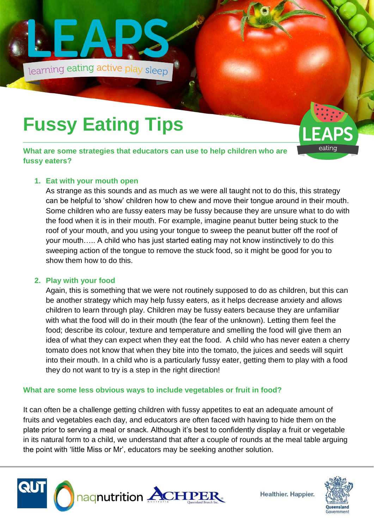

## **Fussy Eating Tips**

**What are some strategies that educators can use to help children who are fussy eaters?**

### **1. Eat with your mouth open**

As strange as this sounds and as much as we were all taught not to do this, this strategy can be helpful to 'show' children how to chew and move their tongue around in their mouth. Some children who are fussy eaters may be fussy because they are unsure what to do with the food when it is in their mouth. For example, imagine peanut butter being stuck to the roof of your mouth, and you using your tongue to sweep the peanut butter off the roof of your mouth….. A child who has just started eating may not know instinctively to do this sweeping action of the tongue to remove the stuck food, so it might be good for you to show them how to do this.

### **2. Play with your food**

Again, this is something that we were not routinely supposed to do as children, but this can be another strategy which may help fussy eaters, as it helps decrease anxiety and allows children to learn through play. Children may be fussy eaters because they are unfamiliar with what the food will do in their mouth (the fear of the unknown). Letting them feel the food; describe its colour, texture and temperature and smelling the food will give them an idea of what they can expect when they eat the food. A child who has never eaten a cherry tomato does not know that when they bite into the tomato, the juices and seeds will squirt into their mouth. In a child who is a particularly fussy eater, getting them to play with a food they do not want to try is a step in the right direction!

### **What are some less obvious ways to include vegetables or fruit in food?**

It can often be a challenge getting children with fussy appetites to eat an adequate amount of fruits and vegetables each day, and educators are often faced with having to hide them on the plate prior to serving a meal or snack. Although it's best to confidently display a fruit or vegetable in its natural form to a child, we understand that after a couple of rounds at the meal table arguing the point with 'little Miss or Mr', educators may be seeking another solution.



**Healthier. Happier.** 



**FAPS** 

eatinq